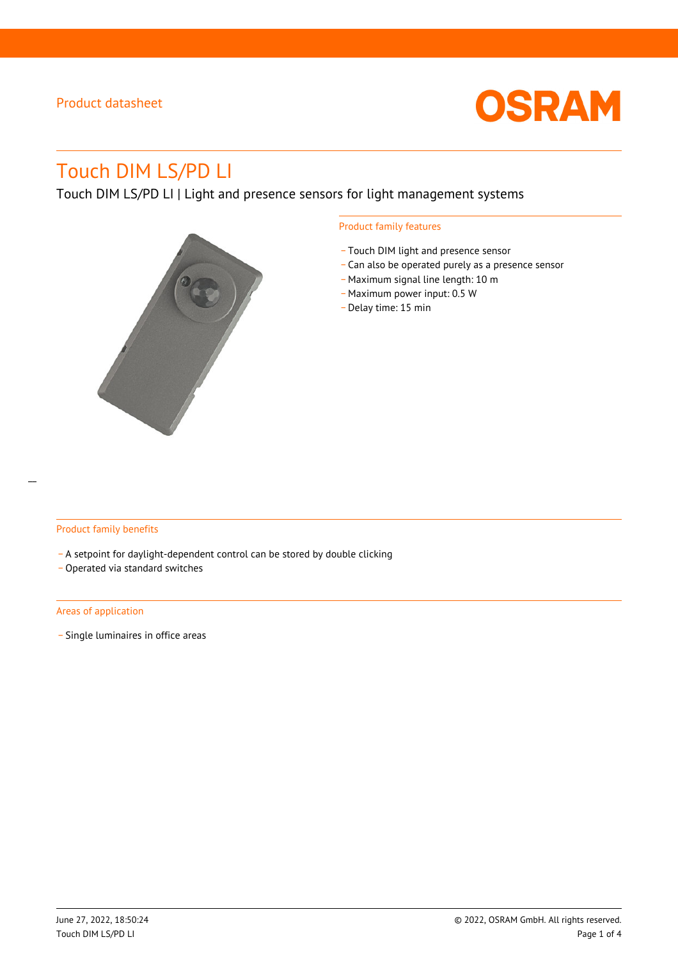

# Touch DIM LS/PD LI

Touch DIM LS/PD LI | Light and presence sensors for light management systems



### Product family features

- \_ Touch DIM light and presence sensor
- \_ Can also be operated purely as a presence sensor
- Maximum signal line length: 10 m
- Maximum power input: 0.5 W
- \_ Delay time: 15 min

### Product family benefits

- A setpoint for daylight-dependent control can be stored by double clicking
- \_ Operated via standard switches

#### Areas of application

\_ Single luminaires in office areas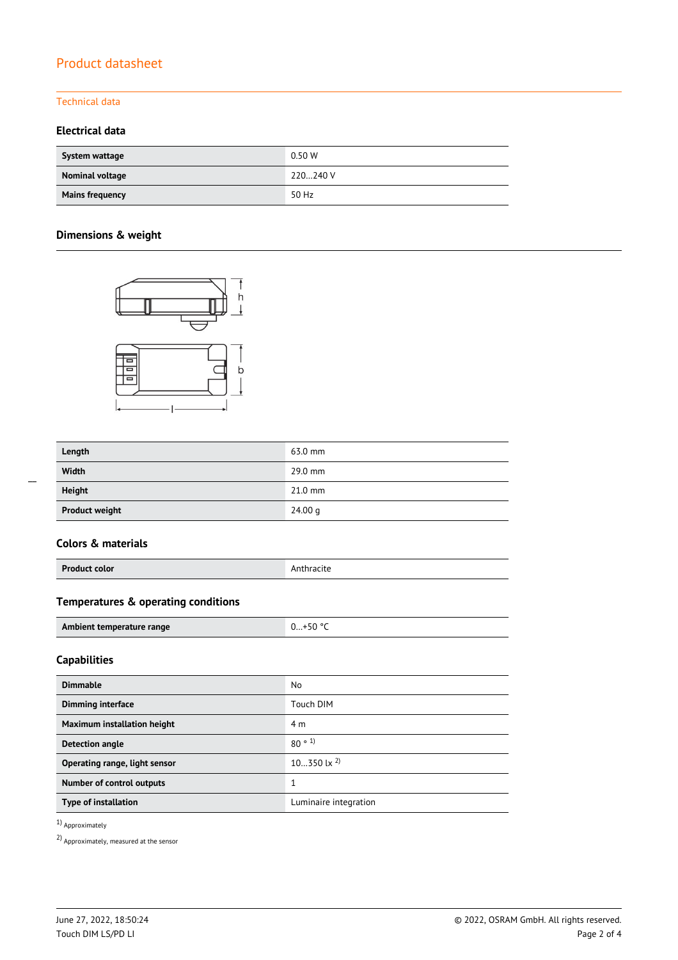### Technical data

### **Electrical data**

| System wattage         | 0.50 W   |
|------------------------|----------|
| Nominal voltage        | 220240 V |
| <b>Mains frequency</b> | 50 Hz    |

### **Dimensions & weight**



| Length                | 63.0 mm   |
|-----------------------|-----------|
| Width                 | 29.0 mm   |
| <b>Height</b>         | $21.0$ mm |
| <b>Product weight</b> | 24.00 g   |

### **Colors & materials**

| <b>Product color</b> | . .<br>Anthracite |
|----------------------|-------------------|
|                      |                   |

## **Temperatures & operating conditions**

| Ambient temperature range | $+50$ ° |
|---------------------------|---------|

### **Capabilities**

| <b>Dimmable</b>                  | No                    |
|----------------------------------|-----------------------|
| <b>Dimming interface</b>         | Touch DIM             |
| Maximum installation height      | 4 m                   |
| <b>Detection angle</b>           | 80°1                  |
| Operating range, light sensor    | 10350 lx $^{2)}$      |
| <b>Number of control outputs</b> | 1<br>л                |
| Type of installation             | Luminaire integration |

1) Approximately

2) Approximately, measured at the sensor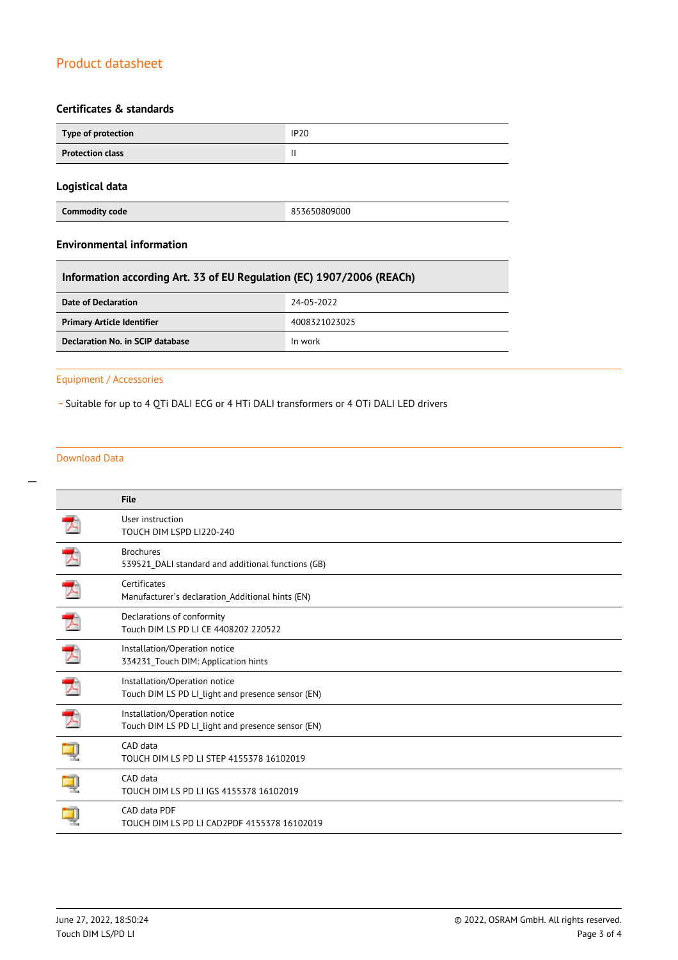### **Certificates & standards**

| Type of protection      | <b>IP20</b> |  |  |
|-------------------------|-------------|--|--|
| <b>Protection class</b> |             |  |  |

### **Logistical data**

**Commodity code** 853650809000

### **Environmental information**

| Information according Art. 33 of EU Regulation (EC) 1907/2006 (REACh) |               |  |
|-----------------------------------------------------------------------|---------------|--|
| Date of Declaration                                                   | 24-05-2022    |  |
| <b>Primary Article Identifier</b>                                     | 4008321023025 |  |
| Declaration No. in SCIP database                                      | In work       |  |

### Equipment / Accessories

\_ Suitable for up to 4 QTi DALI ECG or 4 HTi DALI transformers or 4 OTi DALI LED drivers

#### Download Data

|               | <b>File</b>                                                                        |
|---------------|------------------------------------------------------------------------------------|
|               | User instruction<br>TOUCH DIM LSPD LI220-240                                       |
| $\mathcal{L}$ | <b>Brochures</b><br>539521 DALI standard and additional functions (GB)             |
| $\mathcal{L}$ | Certificates<br>Manufacturer's declaration Additional hints (EN)                   |
| プ             | Declarations of conformity<br>Touch DIM LS PD LI CE 4408202 220522                 |
| プ             | Installation/Operation notice<br>334231_Touch DIM: Application hints               |
| 犬             | Installation/Operation notice<br>Touch DIM LS PD LI_light and presence sensor (EN) |
| $\mathcal{L}$ | Installation/Operation notice<br>Touch DIM LS PD LI_light and presence sensor (EN) |
|               | CAD data<br>TOUCH DIM LS PD LI STEP 4155378 16102019                               |
|               | CAD data<br>TOUCH DIM LS PD LI IGS 4155378 16102019                                |
|               | CAD data PDF<br>TOUCH DIM LS PD LI CAD2PDF 4155378 16102019                        |